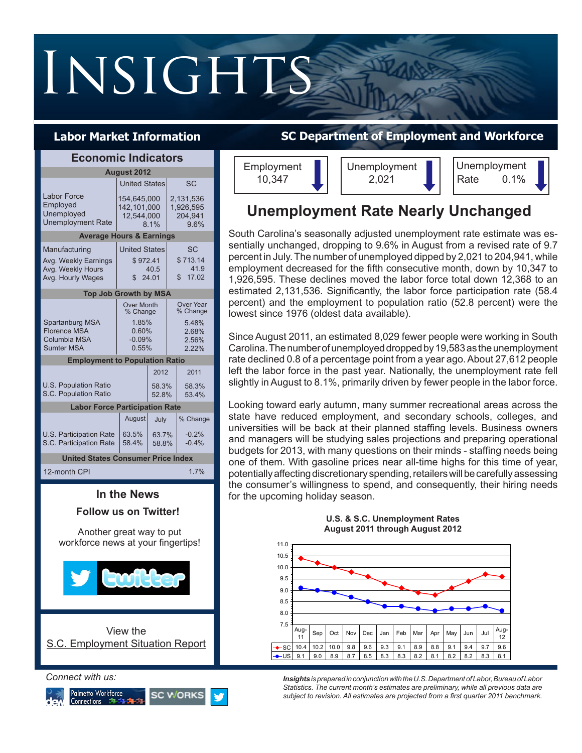# INSIGHTS

## **Labor Market Information**

| <b>Economic Indicators</b>                                                      |                                                                      |                |                                                           |      |  |
|---------------------------------------------------------------------------------|----------------------------------------------------------------------|----------------|-----------------------------------------------------------|------|--|
| <b>August 2012</b>                                                              |                                                                      |                |                                                           |      |  |
|                                                                                 | <b>United States</b>                                                 |                | SC                                                        |      |  |
| Labor Force<br>Employed<br>Unemployed<br><b>Unemployment Rate</b>               | 154.645.000<br>142.101.000<br>12,544,000<br>8.1%                     |                | 2.131.536<br>1,926,595<br>204,941<br>9.6%                 |      |  |
| <b>Average Hours &amp; Earnings</b>                                             |                                                                      |                |                                                           |      |  |
| Manufacturing<br>Avg. Weekly Earnings<br>Avg. Weekly Hours<br>Avg. Hourly Wages | <b>United States</b><br>\$972.41<br>40.5<br>24.01<br>\$              |                | <b>SC</b><br>\$713.14<br>41.9<br>\$17.02                  |      |  |
| <b>Top Job Growth by MSA</b>                                                    |                                                                      |                |                                                           |      |  |
| Spartanburg MSA<br><b>Florence MSA</b><br>Columbia MSA<br><b>Sumter MSA</b>     | <b>Over Month</b><br>% Change<br>1.85%<br>0.60%<br>$-0.09%$<br>0.55% |                | Over Year<br>% Change<br>5.48%<br>2.68%<br>2.56%<br>2.22% |      |  |
| <b>Employment to Population Ratio</b>                                           |                                                                      |                |                                                           |      |  |
| <b>U.S. Population Ratio</b><br>S.C. Population Ratio                           |                                                                      |                | 2012<br>2011<br>58.3%<br>58.3%<br>52.8%<br>53.4%          |      |  |
| <b>Labor Force Participation Rate</b>                                           |                                                                      |                |                                                           |      |  |
|                                                                                 | August                                                               | July           | % Change                                                  |      |  |
| <b>U.S. Participation Rate</b><br>S.C. Participation Rate                       | 63.5%<br>58.4%                                                       | 63.7%<br>58.8% | $-0.2%$<br>$-0.4%$                                        |      |  |
| <b>United States Consumer Price Index</b>                                       |                                                                      |                |                                                           |      |  |
| 12-month CPI                                                                    |                                                                      |                |                                                           | 1.7% |  |

## **In the News Follow us on Twitter!** View the S.C. Employment Situation Report Another great way to put workforce news at your fingertips!

#### *Connect with us:*



## **SC Department of Employment and Workforce**



## **Unemployment Rate Nearly Unchanged**

South Carolina's seasonally adjusted unemployment rate estimate was essentially unchanged, dropping to 9.6% in August from a revised rate of 9.7 percent in July. The number of unemployed dipped by 2,021 to 204,941, while employment decreased for the fifth consecutive month, down by 10,347 to 1,926,595. These declines moved the labor force total down 12,368 to an estimated 2,131,536. Significantly, the labor force participation rate (58.4 percent) and the employment to population ratio (52.8 percent) were the lowest since 1976 (oldest data available).

Since August 2011, an estimated 8,029 fewer people were working in South Carolina. The number of unemployed dropped by 19,583 as the unemployment rate declined 0.8 of a percentage point from a year ago. About 27,612 people left the labor force in the past year. Nationally, the unemployment rate fell slightly in August to 8.1%, primarily driven by fewer people in the labor force.

Looking toward early autumn, many summer recreational areas across the state have reduced employment, and secondary schools, colleges, and universities will be back at their planned staffing levels. Business owners and managers will be studying sales projections and preparing operational budgets for 2013, with many questions on their minds - staffing needs being one of them. With gasoline prices near all-time highs for this time of year, potentially affecting discretionary spending, retailers will be carefully assessing the consumer's willingness to spend, and consequently, their hiring needs for the upcoming holiday season.



**U.S. & S.C. Unemployment Rates August 2011 through August 2012**

*Insights is prepared in conjunction with the U.S. Department of Labor, Bureau of Labor Statistics. The current month's estimates are preliminary, while all previous data are subject to revision. All estimates are projected from a first quarter 2011 benchmark.*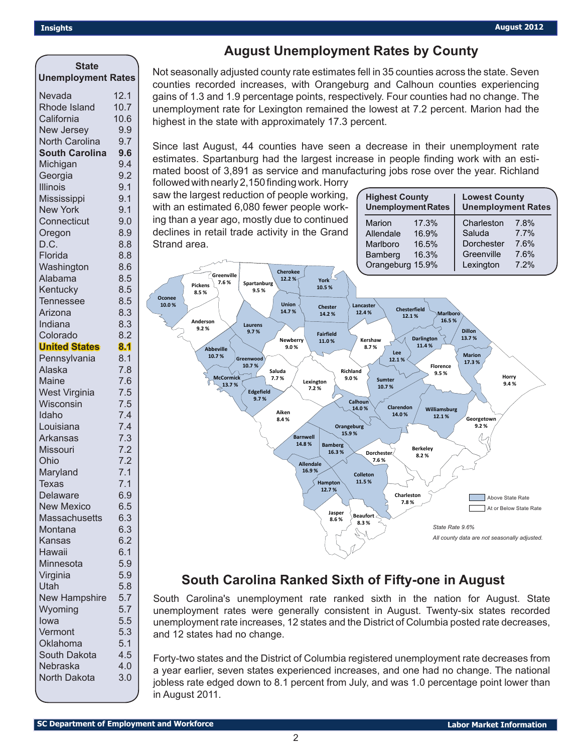## **August Unemployment Rates by County**

| <b>State</b>                     |            |
|----------------------------------|------------|
| <b>Unemployment Rates</b>        |            |
| Nevada                           | 12.1       |
| Rhode Island                     | 10.7       |
| California                       | 10.6       |
| New Jersey                       | 9.9        |
| North Carolina                   | 9.7        |
| <b>South Carolina</b>            | 9.6        |
| Michigan                         | 9.4        |
| Georgia                          | 9.2        |
| <b>Illinois</b>                  | 9.1        |
| Mississippi                      | 9.1        |
| <b>New York</b>                  | 9.1        |
| Connecticut                      | 9.0        |
| Oregon                           | 8.9        |
| D.C.                             | 8.8        |
| Florida                          | 8.8        |
| Washington                       | 8.6        |
| Alabama                          | 8.5        |
| Kentucky                         | 8.5        |
| <b>Tennessee</b>                 | 8.5        |
| Arizona                          | 8.3        |
| Indiana                          | 8.3<br>8.2 |
| Colorado<br><b>United States</b> | 8.1        |
| Pennsylvania                     | 8.1        |
| Alaska                           | 7.8        |
| Maine                            | 7.6        |
| <b>West Virginia</b>             | 7.5        |
| Wisconsin                        | 7.5        |
| Idaho                            | 7.4        |
| Louisiana                        | 7.4        |
| <b>Arkansas</b>                  | 7.3        |
| Missouri                         | 7.2        |
| Ohio                             | 7.2        |
| Maryland                         | 7.1        |
| <b>Texas</b>                     | 7.1        |
| Delaware                         | 6.9        |
| <b>New Mexico</b>                | 6.5        |
| <b>Massachusetts</b>             | 6.3        |
| Montana                          | 6.3        |
| Kansas                           | 6.2        |
| Hawaii                           | 6.1        |
| Minnesota                        | 5.9        |
| Virginia                         | 5.9        |
| Utah                             | 5.8        |
| <b>New Hampshire</b>             | 5.7        |
| Wyoming                          | 5.7        |
| lowa                             | 5.5        |
| Vermont                          | 5.3        |
| Oklahoma                         | 5.1        |
| South Dakota                     | 4.5        |
| Nebraska<br>North Dakota         | 4.0<br>3.0 |
|                                  |            |

Not seasonally adjusted county rate estimates fell in 35 counties across the state. Seven counties recorded increases, with Orangeburg and Calhoun counties experiencing gains of 1.3 and 1.9 percentage points, respectively. Four counties had no change. The unemployment rate for Lexington remained the lowest at 7.2 percent. Marion had the highest in the state with approximately 17.3 percent.

followed with nearly 2,150 finding work. Horry Since last August, 44 counties have seen a decrease in their unemployment rate estimates. Spartanburg had the largest increase in people finding work with an estimated boost of 3,891 as service and manufacturing jobs rose over the year. Richland

saw the largest reduction of people working, with an estimated 6,080 fewer people working than a year ago, mostly due to continued declines in retail trade activity in the Grand Strand area.

| <b>Highest County</b><br><b>Unemployment Rates</b> |       | <b>Lowest County</b><br><b>Unemployment Rates</b> |      |  |
|----------------------------------------------------|-------|---------------------------------------------------|------|--|
| Marion                                             | 17.3% | Charleston                                        | 7.8% |  |
| Allendale                                          | 16.9% | Saluda                                            | 7.7% |  |
| Marlboro                                           | 16.5% | Dorchester                                        | 7.6% |  |
| Bamberg                                            | 16.3% | Greenville                                        | 7.6% |  |
| Orangeburg 15.9%                                   |       | Lexington                                         | 7.2% |  |



## **South Carolina Ranked Sixth of Fifty-one in August**

South Carolina's unemployment rate ranked sixth in the nation for August. State unemployment rates were generally consistent in August. Twenty-six states recorded unemployment rate increases, 12 states and the District of Columbia posted rate decreases, and 12 states had no change.

Forty-two states and the District of Columbia registered unemployment rate decreases from a year earlier, seven states experienced increases, and one had no change. The national jobless rate edged down to 8.1 percent from July, and was 1.0 percentage point lower than in August 2011.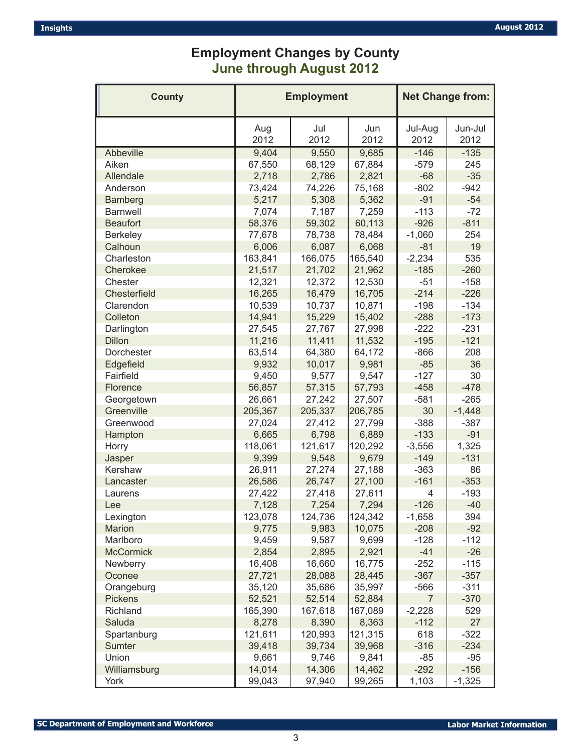## **Employment Changes by County June through August 2012**

| <b>County</b>    | <b>Employment</b> |             |             | <b>Net Change from:</b> |                 |
|------------------|-------------------|-------------|-------------|-------------------------|-----------------|
|                  | Aug<br>2012       | Jul<br>2012 | Jun<br>2012 | Jul-Aug<br>2012         | Jun-Jul<br>2012 |
| Abbeville        | 9,404             | 9,550       | 9,685       | $-146$                  | $-135$          |
| Aiken            | 67,550            | 68,129      | 67,884      | $-579$                  | 245             |
| Allendale        | 2,718             | 2,786       | 2,821       | $-68$                   | $-35$           |
| Anderson         | 73,424            | 74,226      | 75,168      | $-802$                  | $-942$          |
| Bamberg          | 5,217             | 5,308       | 5,362       | $-91$                   | $-54$           |
| <b>Barnwell</b>  | 7,074             | 7,187       | 7,259       | $-113$                  | $-72$           |
| <b>Beaufort</b>  | 58,376            | 59,302      | 60,113      | $-926$                  | $-811$          |
| Berkeley         | 77,678            | 78,738      | 78,484      | $-1,060$                | 254             |
| Calhoun          | 6,006             | 6,087       | 6,068       | $-81$                   | 19              |
| Charleston       | 163,841           | 166,075     | 165,540     | $-2,234$                | 535             |
| Cherokee         | 21,517            | 21,702      | 21,962      | $-185$                  | $-260$          |
| Chester          | 12,321            | 12,372      | 12,530      | $-51$                   | $-158$          |
| Chesterfield     | 16,265            | 16,479      | 16,705      | $-214$                  | $-226$          |
| Clarendon        | 10,539            | 10,737      | 10,871      | $-198$                  | $-134$          |
| Colleton         | 14,941            | 15,229      | 15,402      | $-288$                  | $-173$          |
| Darlington       | 27,545            | 27,767      | 27,998      | $-222$                  | $-231$          |
| <b>Dillon</b>    | 11,216            | 11,411      | 11,532      | $-195$                  | $-121$          |
| Dorchester       | 63,514            | 64,380      | 64,172      | $-866$                  | 208             |
| Edgefield        | 9,932             | 10,017      | 9,981       | $-85$                   | 36              |
| Fairfield        | 9,450             | 9,577       | 9,547       | $-127$                  | 30              |
| Florence         | 56,857            | 57,315      | 57,793      | $-458$                  | $-478$          |
| Georgetown       | 26,661            | 27,242      | 27,507      | $-581$                  | $-265$          |
| Greenville       | 205,367           | 205,337     | 206,785     | 30                      | $-1,448$        |
| Greenwood        | 27,024            | 27,412      | 27,799      | $-388$                  | $-387$          |
| Hampton          | 6,665             | 6,798       | 6,889       | $-133$                  | $-91$           |
| Horry            | 118,061           | 121,617     | 120,292     | $-3,556$                | 1,325           |
| Jasper           | 9,399             | 9,548       | 9,679       | $-149$                  | $-131$          |
| Kershaw          | 26,911            | 27,274      | 27,188      | $-363$                  | 86              |
| Lancaster        | 26,586            | 26,747      | 27,100      | $-161$                  | $-353$          |
| Laurens          | 27,422            | 27,418      | 27,611      | 4                       | $-193$          |
| Lee              | 7,128             | 7,254       | 7,294       | $-126$                  | $-40$           |
| Lexington        | 123,078           | 124,736     | 124,342     | $-1,658$                | 394             |
| <b>Marion</b>    | 9,775             | 9,983       | 10,075      | $-208$                  | $-92$           |
| Marlboro         | 9,459             | 9,587       | 9,699       | $-128$                  | $-112$          |
| <b>McCormick</b> | 2,854             | 2,895       | 2,921       | $-41$                   | $-26$           |
| Newberry         | 16,408            | 16,660      | 16,775      | $-252$                  | $-115$          |
| Oconee           | 27,721            | 28,088      | 28,445      | $-367$                  | $-357$          |
| Orangeburg       | 35,120            | 35,686      | 35,997      | $-566$                  | $-311$          |
| <b>Pickens</b>   | 52,521            | 52,514      | 52,884      | $\overline{7}$          | $-370$          |
| Richland         | 165,390           | 167,618     | 167,089     | $-2,228$                | 529             |
| Saluda           | 8,278             | 8,390       | 8,363       | $-112$                  | 27              |
| Spartanburg      | 121,611           | 120,993     | 121,315     | 618                     | $-322$          |
| Sumter           | 39,418            | 39,734      | 39,968      | $-316$                  | $-234$          |
| Union            | 9,661             | 9,746       | 9,841       | $-85$                   | $-95$           |
| Williamsburg     | 14,014            | 14,306      | 14,462      | $-292$                  | $-156$          |
| York             | 99,043            | 97,940      | 99,265      | 1,103                   | $-1,325$        |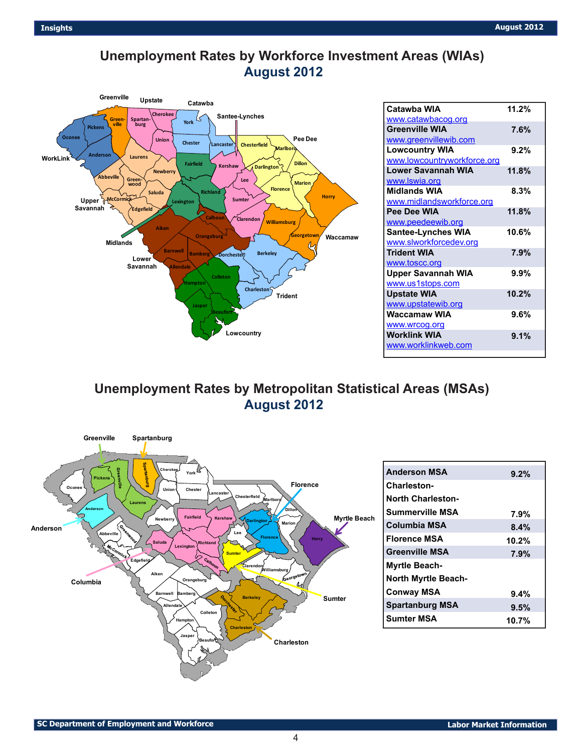## **Unemployment Rates by Workforce Investment Areas (WIAs) August 2012**



| Catawba WIA                 | 11.2%   |
|-----------------------------|---------|
| www.catawbacog.org          |         |
| <b>Greenville WIA</b>       | 7.6%    |
| www.greenvillewib.com       |         |
| <b>Lowcountry WIA</b>       | 9.2%    |
| www.lowcountryworkforce.org |         |
| Lower Savannah WIA          | 11.8%   |
| www.Iswia.org               |         |
| <b>Midlands WIA</b>         | 8.3%    |
| www.midlandsworkforce.org   |         |
| Pee Dee WIA                 | 11.8%   |
| www.peedeewib.org           |         |
| <b>Santee-Lynches WIA</b>   | 10.6%   |
| www.slworkforcedev.org      |         |
| <b>Trident WIA</b>          | 7.9%    |
| www.toscc.org               |         |
| <b>Upper Savannah WIA</b>   | $9.9\%$ |
| www.us1stops.com            |         |
| <b>Upstate WIA</b>          | 10.2%   |
| www.upstatewib.org          |         |
| Waccamaw WIA                | $9.6\%$ |
| www.wrcog.org               |         |
| <b>Worklink WIA</b>         | 9.1%    |
| www.worklinkweb.com         |         |
|                             |         |

**Unemployment Rates by Metropolitan Statistical Areas (MSAs) August 2012**



**9.2%**

**7.9% 8.4% 10.2% 7.9%**

**9.4% 9.5% 10.7%**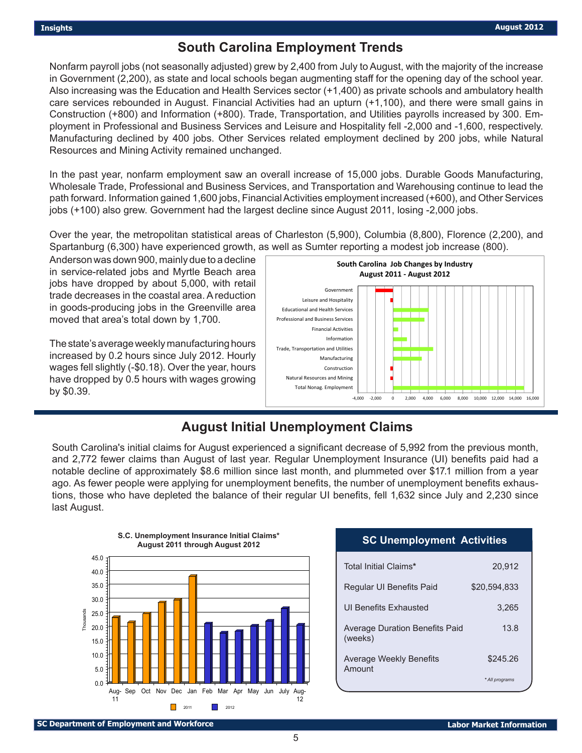## **South Carolina Employment Trends**

Nonfarm payroll jobs (not seasonally adjusted) grew by 2,400 from July to August, with the majority of the increase in Government (2,200), as state and local schools began augmenting staff for the opening day of the school year. Also increasing was the Education and Health Services sector (+1,400) as private schools and ambulatory health care services rebounded in August. Financial Activities had an upturn (+1,100), and there were small gains in Construction (+800) and Information (+800). Trade, Transportation, and Utilities payrolls increased by 300. Employment in Professional and Business Services and Leisure and Hospitality fell -2,000 and -1,600, respectively. Manufacturing declined by 400 jobs. Other Services related employment declined by 200 jobs, while Natural Resources and Mining Activity remained unchanged.

In the past year, nonfarm employment saw an overall increase of 15,000 jobs. Durable Goods Manufacturing, Wholesale Trade, Professional and Business Services, and Transportation and Warehousing continue to lead the path forward. Information gained 1,600 jobs, Financial Activities employment increased (+600), and Other Services jobs (+100) also grew. Government had the largest decline since August 2011, losing -2,000 jobs.

Over the year, the metropolitan statistical areas of Charleston (5,900), Columbia (8,800), Florence (2,200), and Spartanburg (6,300) have experienced growth, as well as Sumter reporting a modest job increase (800).

Anderson was down 900, mainly due to a decline in service-related jobs and Myrtle Beach area jobs have dropped by about 5,000, with retail trade decreases in the coastal area. A reduction in goods-producing jobs in the Greenville area moved that area's total down by 1,700.

The state's average weekly manufacturing hours increased by 0.2 hours since July 2012. Hourly wages fell slightly (-\$0.18). Over the year, hours have dropped by 0.5 hours with wages growing by \$0.39.



## **August Initial Unemployment Claims**

South Carolina's initial claims for August experienced a significant decrease of 5,992 from the previous month, and 2,772 fewer claims than August of last year. Regular Unemployment Insurance (UI) benefits paid had a notable decline of approximately \$8.6 million since last month, and plummeted over \$17.1 million from a year ago. As fewer people were applying for unemployment benefits, the number of unemployment benefits exhaustions, those who have depleted the balance of their regular UI benefits, fell 1,632 since July and 2,230 since last August.



#### **SC Unemployment Activities**

| Total Initial Claims*                     | 20,912         |
|-------------------------------------------|----------------|
| Regular UI Benefits Paid                  | \$20.594.833   |
| UI Benefits Exhausted                     | 3,265          |
| Average Duration Benefits Paid<br>(weeks) | 13.8           |
| <b>Average Weekly Benefits</b><br>Amount  | \$245.26       |
|                                           | * All programs |